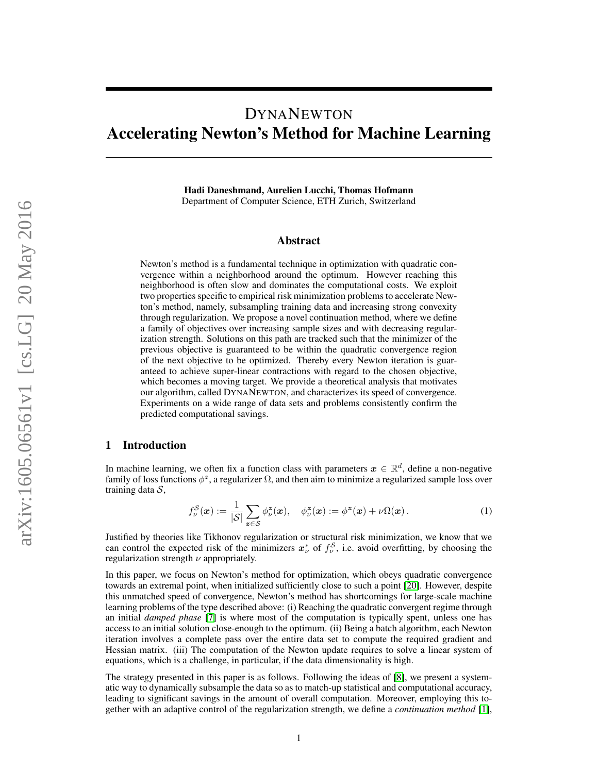# DYNANEWTON Accelerating Newton's Method for Machine Learning

Hadi Daneshmand, Aurelien Lucchi, Thomas Hofmann Department of Computer Science, ETH Zurich, Switzerland

## Abstract

Newton's method is a fundamental technique in optimization with quadratic convergence within a neighborhood around the optimum. However reaching this neighborhood is often slow and dominates the computational costs. We exploit two properties specific to empirical risk minimization problems to accelerate Newton's method, namely, subsampling training data and increasing strong convexity through regularization. We propose a novel continuation method, where we define a family of objectives over increasing sample sizes and with decreasing regularization strength. Solutions on this path are tracked such that the minimizer of the previous objective is guaranteed to be within the quadratic convergence region of the next objective to be optimized. Thereby every Newton iteration is guaranteed to achieve super-linear contractions with regard to the chosen objective, which becomes a moving target. We provide a theoretical analysis that motivates our algorithm, called DYNANEWTON, and characterizes its speed of convergence. Experiments on a wide range of data sets and problems consistently confirm the predicted computational savings.

# 1 Introduction

In machine learning, we often fix a function class with parameters  $x \in \mathbb{R}^d$ , define a non-negative family of loss functions  $\phi^z$ , a regularizer  $\Omega$ , and then aim to minimize a regularized sample loss over training data  $S$ ,

<span id="page-0-0"></span>
$$
f_{\nu}^{\mathcal{S}}(\boldsymbol{x}) := \frac{1}{|\mathcal{S}|} \sum_{\boldsymbol{z} \in \mathcal{S}} \phi_{\nu}^{\boldsymbol{z}}(\boldsymbol{x}), \quad \phi_{\nu}^{\boldsymbol{z}}(\boldsymbol{x}) := \phi^{\boldsymbol{z}}(\boldsymbol{x}) + \nu \Omega(\boldsymbol{x}). \tag{1}
$$

Justified by theories like Tikhonov regularization or structural risk minimization, we know that we can control the expected risk of the minimizers  $x^*_{\nu}$  of  $f^{\mathcal{S}}_{\nu}$ , i.e. avoid overfitting, by choosing the regularization strength  $\nu$  appropriately.

In this paper, we focus on Newton's method for optimization, which obeys quadratic convergence towards an extremal point, when initialized sufficiently close to such a point [\[20\]](#page-9-0). However, despite this unmatched speed of convergence, Newton's method has shortcomings for large-scale machine learning problems of the type described above: (i) Reaching the quadratic convergent regime through an initial *damped phase* [\[7\]](#page-8-0) is where most of the computation is typically spent, unless one has access to an initial solution close-enough to the optimum. (ii) Being a batch algorithm, each Newton iteration involves a complete pass over the entire data set to compute the required gradient and Hessian matrix. (iii) The computation of the Newton update requires to solve a linear system of equations, which is a challenge, in particular, if the data dimensionality is high.

The strategy presented in this paper is as follows. Following the ideas of [\[8\]](#page-8-1), we present a systematic way to dynamically subsample the data so as to match-up statistical and computational accuracy, leading to significant savings in the amount of overall computation. Moreover, employing this together with an adaptive control of the regularization strength, we define a *continuation method* [\[1\]](#page-8-2),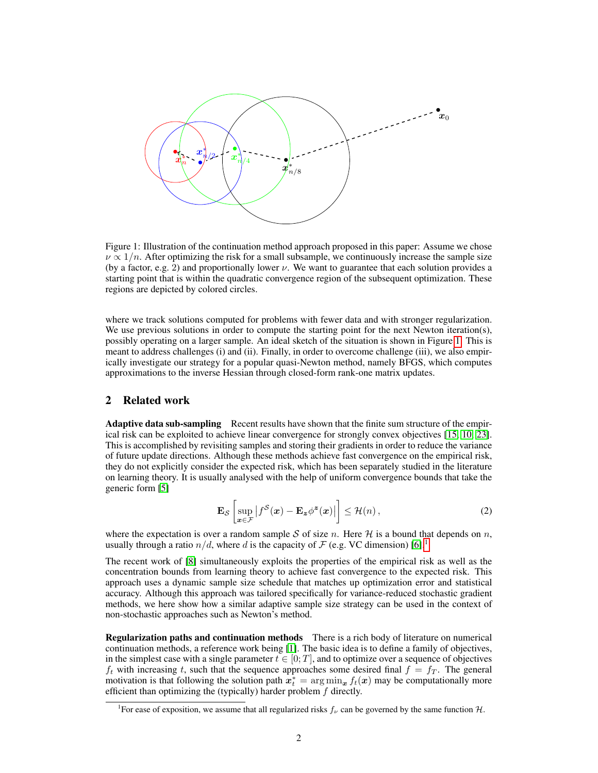

Figure 1: Illustration of the continuation method approach proposed in this paper: Assume we chose  $\nu \propto 1/n$ . After optimizing the risk for a small subsample, we continuously increase the sample size (by a factor, e.g. 2) and proportionally lower  $\nu$ . We want to guarantee that each solution provides a starting point that is within the quadratic convergence region of the subsequent optimization. These regions are depicted by colored circles.

where we track solutions computed for problems with fewer data and with stronger regularization. We use previous solutions in order to compute the starting point for the next Newton iteration(s), possibly operating on a larger sample. An ideal sketch of the situation is shown in Figure [1.](#page-0-0) This is meant to address challenges (i) and (ii). Finally, in order to overcome challenge (iii), we also empirically investigate our strategy for a popular quasi-Newton method, namely BFGS, which computes approximations to the inverse Hessian through closed-form rank-one matrix updates.

# 2 Related work

Adaptive data sub-sampling Recent results have shown that the finite sum structure of the empirical risk can be exploited to achieve linear convergence for strongly convex objectives [\[15,](#page-8-3) [10,](#page-8-4) [23\]](#page-9-1). This is accomplished by revisiting samples and storing their gradients in order to reduce the variance of future update directions. Although these methods achieve fast convergence on the empirical risk, they do not explicitly consider the expected risk, which has been separately studied in the literature on learning theory. It is usually analysed with the help of uniform convergence bounds that take the generic form [\[5\]](#page-8-5)

$$
\mathbf{E}_{\mathcal{S}}\left[\sup_{\boldsymbol{x}\in\mathcal{F}}\left|f^{\mathcal{S}}(\boldsymbol{x})-\mathbf{E}_{\boldsymbol{z}}\phi^{\boldsymbol{z}}(\boldsymbol{x})\right|\right] \leq \mathcal{H}(n)\,,\tag{2}
$$

where the expectation is over a random sample S of size n. Here H is a bound that depends on n, usually through a ratio  $n/d$ , where d is the capacity of F (e.g. VC dimension) [\[6\]](#page-8-6).<sup>[1](#page-1-0)</sup>

The recent work of [\[8\]](#page-8-1) simultaneously exploits the properties of the empirical risk as well as the concentration bounds from learning theory to achieve fast convergence to the expected risk. This approach uses a dynamic sample size schedule that matches up optimization error and statistical accuracy. Although this approach was tailored specifically for variance-reduced stochastic gradient methods, we here show how a similar adaptive sample size strategy can be used in the context of non-stochastic approaches such as Newton's method.

Regularization paths and continuation methods There is a rich body of literature on numerical continuation methods, a reference work being [\[1\]](#page-8-2). The basic idea is to define a family of objectives, in the simplest case with a single parameter  $t \in [0; T]$ , and to optimize over a sequence of objectives  $f_t$  with increasing t, such that the sequence approaches some desired final  $f = f_T$ . The general motivation is that following the solution path  $x_t^* = \arg \min_x f_t(x)$  may be computationally more efficient than optimizing the (typically) harder problem  $f$  directly.

<span id="page-1-0"></span><sup>&</sup>lt;sup>1</sup> For ease of exposition, we assume that all regularized risks  $f_{\nu}$  can be governed by the same function H.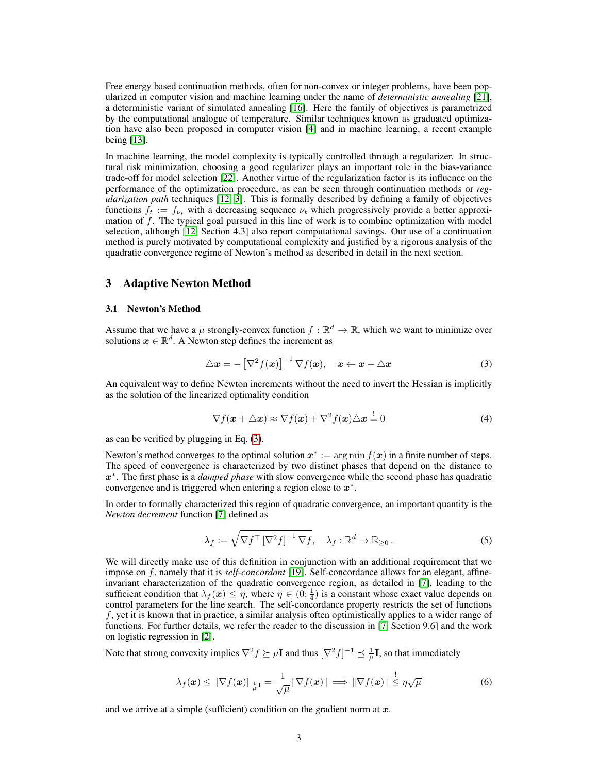Free energy based continuation methods, often for non-convex or integer problems, have been popularized in computer vision and machine learning under the name of *deterministic annealing* [\[21\]](#page-9-2), a deterministic variant of simulated annealing [\[16\]](#page-8-7). Here the family of objectives is parametrized by the computational analogue of temperature. Similar techniques known as graduated optimization have also been proposed in computer vision [\[4\]](#page-8-8) and in machine learning, a recent example being [\[13\]](#page-8-9).

In machine learning, the model complexity is typically controlled through a regularizer. In structural risk minimization, choosing a good regularizer plays an important role in the bias-variance trade-off for model selection [\[22\]](#page-9-3). Another virtue of the regularization factor is its influence on the performance of the optimization procedure, as can be seen through continuation methods or *regularization path* techniques [\[12,](#page-8-10) [3\]](#page-8-11). This is formally described by defining a family of objectives functions  $f_t := f_{\nu_t}$  with a decreasing sequence  $\nu_t$  which progressively provide a better approximation of  $f$ . The typical goal pursued in this line of work is to combine optimization with model selection, although [\[12,](#page-8-10) Section 4.3] also report computational savings. Our use of a continuation method is purely motivated by computational complexity and justified by a rigorous analysis of the quadratic convergence regime of Newton's method as described in detail in the next section.

# 3 Adaptive Newton Method

#### 3.1 Newton's Method

Assume that we have a  $\mu$  strongly-convex function  $f : \mathbb{R}^d \to \mathbb{R}$ , which we want to minimize over solutions  $x \in \mathbb{R}^d$ . A Newton step defines the increment as

$$
\triangle \boldsymbol{x} = -\left[\nabla^2 f(\boldsymbol{x})\right]^{-1} \nabla f(\boldsymbol{x}), \quad \boldsymbol{x} \leftarrow \boldsymbol{x} + \triangle \boldsymbol{x} \tag{3}
$$

An equivalent way to define Newton increments without the need to invert the Hessian is implicitly as the solution of the linearized optimality condition

<span id="page-2-0"></span>
$$
\nabla f(\mathbf{x} + \triangle \mathbf{x}) \approx \nabla f(\mathbf{x}) + \nabla^2 f(\mathbf{x}) \triangle \mathbf{x} = 0 \tag{4}
$$

as can be verified by plugging in Eq. [\(3\)](#page-2-0).

Newton's method converges to the optimal solution  $x^* := \arg \min f(x)$  in a finite number of steps. The speed of convergence is characterized by two distinct phases that depend on the distance to x ∗ . The first phase is a *damped phase* with slow convergence while the second phase has quadratic convergence and is triggered when entering a region close to  $x^*$ .

In order to formally characterized this region of quadratic convergence, an important quantity is the *Newton decrement* function [\[7\]](#page-8-0) defined as

$$
\lambda_f := \sqrt{\nabla f^\top \left[\nabla^2 f\right]^{-1} \nabla f}, \quad \lambda_f : \mathbb{R}^d \to \mathbb{R}_{\geq 0} \,. \tag{5}
$$

We will directly make use of this definition in conjunction with an additional requirement that we impose on f, namely that it is *self-concordant* [\[19\]](#page-9-4). Self-concordance allows for an elegant, affineinvariant characterization of the quadratic convergence region, as detailed in [\[7\]](#page-8-0), leading to the sufficient condition that  $\lambda_f(x) \leq \eta$ , where  $\eta \in (0, \frac{1}{4})$  is a constant whose exact value depends on control parameters for the line search. The self-concordance property restricts the set of functions f, yet it is known that in practice, a similar analysis often optimistically applies to a wider range of functions. For further details, we refer the reader to the discussion in [\[7,](#page-8-0) Section 9.6] and the work on logistic regression in [\[2\]](#page-8-12).

Note that strong convexity implies  $\nabla^2 f \succeq \mu \mathbf{I}$  and thus  $[\nabla^2 f]^{-1} \preceq \frac{1}{\mu} \mathbf{I}$ , so that immediately

$$
\lambda_f(\boldsymbol{x}) \leq \|\nabla f(\boldsymbol{x})\|_{\frac{1}{\mu}\mathbf{I}} = \frac{1}{\sqrt{\mu}} \|\nabla f(\boldsymbol{x})\| \Longrightarrow \|\nabla f(\boldsymbol{x})\| \overset{!}{\leq} \eta \sqrt{\mu}
$$
(6)

and we arrive at a simple (sufficient) condition on the gradient norm at  $x$ .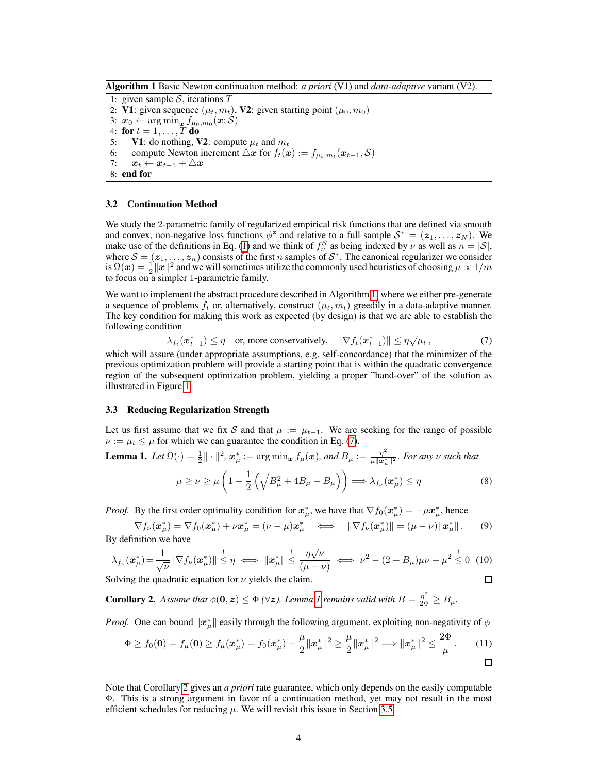<span id="page-3-0"></span>Algorithm 1 Basic Newton continuation method: *a priori* (V1) and *data-adaptive* variant (V2).

1: given sample  $S$ , iterations  $T$ 2: V1: given sequence  $(\mu_t, m_t)$ , V2: given starting point  $(\mu_0, m_0)$ 3:  $\boldsymbol{x}_0 \leftarrow \argmin_{\boldsymbol{x}} f_{\mu_0,m_0}(\boldsymbol{x}; \mathcal{S})$ 4: for  $t = 1, \ldots, T$  do 5: **V1:** do nothing, **V2:** compute  $\mu_t$  and  $m_t$ 6: compute Newton increment  $\triangle x$  for  $f_t(x) := f_{\mu_t,m_t}(x_{t-1}, \mathcal{S})$ 7:  $x_t \leftarrow x_{t-1} + \triangle x$ 

8: end for

#### 3.2 Continuation Method

We study the 2-parametric family of regularized empirical risk functions that are defined via smooth and convex, non-negative loss functions  $\phi^z$  and relative to a full sample  $S^* = (z_1, \ldots, z_N)$ . We make use of the definitions in Eq. [\(1\)](#page-0-0) and we think of  $f_{\nu}^S$  as being indexed by  $\nu$  as well as  $n = |S|$ , where  $S = (z_1, \ldots, z_n)$  consists of the first n samples of  $S^*$ . The canonical regularizer we consider is  $\Omega(x) = \frac{1}{2} ||x||^2$  and we will sometimes utilize the commonly used heuristics of choosing  $\mu \propto 1/m$ to focus on a simpler 1-parametric family.

We want to implement the abstract procedure described in Algorithm [1,](#page-3-0) where we either pre-generate a sequence of problems  $f_t$  or, alternatively, construct  $(\mu_t, m_t)$  greedily in a data-adaptive manner. The key condition for making this work as expected (by design) is that we are able to establish the following condition

$$
\lambda_{f_t}(\boldsymbol{x}_{t-1}^*) \leq \eta \quad \text{or, more conservatively,} \quad \|\nabla f_t(\boldsymbol{x}_{t-1}^*)\| \leq \eta \sqrt{\mu_t} \,, \tag{7}
$$

which will assure (under appropriate assumptions, e.g. self-concordance) that the minimizer of the previous optimization problem will provide a starting point that is within the quadratic convergence region of the subsequent optimization problem, yielding a proper "hand-over" of the solution as illustrated in Figure [1.](#page-0-0)

#### 3.3 Reducing Regularization Strength

Let us first assume that we fix S and that  $\mu := \mu_{t-1}$ . We are seeking for the range of possible  $\nu := \mu_t \leq \mu$  for which we can guarantee the condition in Eq. [\(7\)](#page-3-1).

<span id="page-3-2"></span>**Lemma 1.** Let  $\Omega(\cdot) = \frac{1}{2} || \cdot ||^2$ ,  $\mathbf{x}_{\mu}^* := \arg \min_{\mathbf{x}} f_{\mu}(\mathbf{x})$ , and  $B_{\mu} := \frac{\eta^2}{\mu || \mathbf{x}_{\mu}^*}$  $\frac{\eta^2}{\mu \| \boldsymbol{x}^*_{\mu} \|^2}$ . For any  $\nu$  such that

$$
\mu \ge \nu \ge \mu \left( 1 - \frac{1}{2} \left( \sqrt{B_{\mu}^2 + 4B_{\mu}} - B_{\mu} \right) \right) \Longrightarrow \lambda_{f_{\nu}}(\boldsymbol{x}_{\mu}^*) \le \eta \tag{8}
$$

<span id="page-3-3"></span><span id="page-3-1"></span> $\Box$ 

*Proof.* By the first order optimality condition for  $x^*_{\mu}$ , we have that  $\nabla f_0(x^*_{\mu}) = -\mu x^*_{\mu}$ , hence

$$
\nabla f_{\nu}(\boldsymbol{x}_{\mu}^*) = \nabla f_0(\boldsymbol{x}_{\mu}^*) + \nu \boldsymbol{x}_{\mu}^* = (\nu - \mu) \boldsymbol{x}_{\mu}^* \iff ||\nabla f_{\nu}(\boldsymbol{x}_{\mu}^*)|| = (\mu - \nu) ||\boldsymbol{x}_{\mu}^*||. \tag{9}
$$
 By definition we have

$$
\lambda_{f_{\nu}}(\boldsymbol{x}_{\mu}^*) = \frac{1}{\sqrt{\nu}} \|\nabla f_{\nu}(\boldsymbol{x}_{\mu}^*)\| \stackrel{!}{\leq} \eta \iff \|\boldsymbol{x}_{\mu}^*\| \stackrel{!}{\leq} \frac{\eta \sqrt{\nu}}{(\mu - \nu)} \iff \nu^2 - (2 + B_{\mu})\mu \nu + \mu^2 \stackrel{!}{\leq} 0 \tag{10}
$$

Solving the quadratic equation for  $\nu$  yields the claim.

**Corollary 2.** Assume that  $\phi(\mathbf{0}, \mathbf{z}) \leq \Phi(\forall \mathbf{z})$ . Lemma [1](#page-3-2) remains valid with  $B = \frac{\eta^2}{2\Phi} \geq B_{\mu}$ .

*Proof.* One can bound  $\|\mathbf{x}_{\mu}^*\|$  easily through the following argument, exploiting non-negativity of  $\phi$ 

$$
\Phi \ge f_0(\mathbf{0}) = f_\mu(\mathbf{0}) \ge f_\mu(\mathbf{x}_\mu^*) = f_0(\mathbf{x}_\mu^*) + \frac{\mu}{2} ||\mathbf{x}_\mu^*||^2 \ge \frac{\mu}{2} ||\mathbf{x}_\mu^*||^2 \Longrightarrow ||\mathbf{x}_\mu^*||^2 \le \frac{2\Phi}{\mu}.
$$
 (11)

Note that Corollary [2](#page-3-3) gives an *a priori* rate guarantee, which only depends on the easily computable Φ. This is a strong argument in favor of a continuation method, yet may not result in the most efficient schedules for reducing  $\mu$ . We will revisit this issue in Section [3.5.](#page-4-0)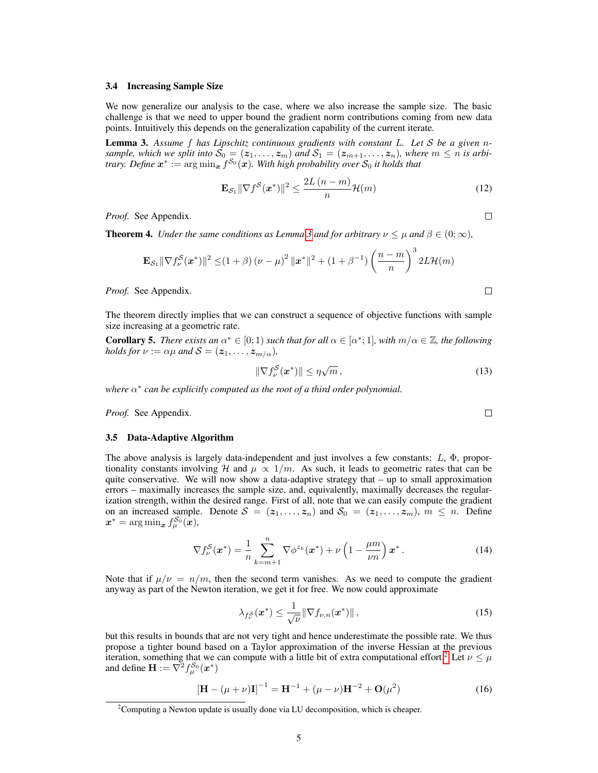#### 3.4 Increasing Sample Size

We now generalize our analysis to the case, where we also increase the sample size. The basic challenge is that we need to upper bound the gradient norm contributions coming from new data points. Intuitively this depends on the generalization capability of the current iterate.

<span id="page-4-1"></span>Lemma 3. *Assume* f *has Lipschitz continuous gradients with constant* L*. Let* S *be a given* n*sample, which we split into*  $S_0 = (z_1, \ldots, z_m)$  *and*  $S_1 = (z_{m+1}, \ldots, z_n)$ *, where*  $m \leq n$  *is arbitrary. Define*  $x^* := \arg\min_{\bm{x}} f^{\mathcal{S}_0}(\bm{x})$ . With high probability over  $\mathcal{S}_0$  it holds that

$$
\mathbf{E}_{\mathcal{S}_1} \|\nabla f^{\mathcal{S}}(\boldsymbol{x}^*)\|^2 \le \frac{2L(n-m)}{n} \mathcal{H}(m)
$$
 (12)

*Proof.* See Appendix.

**Theorem 4.** *Under the same conditions as Lemma* [3](#page-4-1) *and for arbitrary*  $\nu \leq \mu$  *and*  $\beta \in (0, \infty)$ *,* 

$$
\mathbf{E}_{\mathcal{S}_1} \|\nabla f^{\mathcal{S}}_{\nu}(\bm{x}^*)\|^2 \leq (1+\beta) (\nu-\mu)^2 \|\bm{x}^*\|^2 + (1+\beta^{-1}) \left(\frac{n-m}{n}\right)^3 2L\mathcal{H}(m)
$$

*Proof.* See Appendix.

The theorem directly implies that we can construct a sequence of objective functions with sample size increasing at a geometric rate.

**Corollary 5.** *There exists an*  $\alpha^* \in [0;1)$  *such that for all*  $\alpha \in [\alpha^*;1]$ *, with*  $m/\alpha \in \mathbb{Z}$ *, the following holds for*  $\nu := \alpha \mu$  *and*  $S = (z_1, \ldots, z_{m/\alpha})$ *,* 

$$
\|\nabla f_{\nu}^{\mathcal{S}}(\boldsymbol{x}^*)\| \leq \eta \sqrt{m},\tag{13}
$$

*where* α<sup>\*</sup> can be explicitly computed as the root of a third order polynomial.

*Proof.* See Appendix.

#### <span id="page-4-0"></span>3.5 Data-Adaptive Algorithm

The above analysis is largely data-independent and just involves a few constants:  $L$ ,  $\Phi$ , proportionality constants involving H and  $\mu \propto 1/m$ . As such, it leads to geometric rates that can be quite conservative. We will now show a data-adaptive strategy that – up to small approximation errors – maximally increases the sample size, and, equivalently, maximally decreases the regularization strength, within the desired range. First of all, note that we can easily compute the gradient on an increased sample. Denote  $S = (z_1, \ldots, z_n)$  and  $S_0 = (z_1, \ldots, z_m)$ ,  $m \leq n$ . Define  $\boldsymbol{x}^{*} = \argmin_{\boldsymbol{x}} f^{\mathcal{S}_0}_{\mu}(\boldsymbol{x}),$ 

$$
\nabla f_{\nu}^{\mathcal{S}}(\boldsymbol{x}^*) = \frac{1}{n} \sum_{k=m+1}^n \nabla \phi^{z_k}(\boldsymbol{x}^*) + \nu \left(1 - \frac{\mu m}{\nu n}\right) \boldsymbol{x}^* \,. \tag{14}
$$

Note that if  $\mu/\nu = n/m$ , then the second term vanishes. As we need to compute the gradient anyway as part of the Newton iteration, we get it for free. We now could approximate

$$
\lambda_{f_{\nu}^{S}}(\boldsymbol{x}^{*}) \leq \frac{1}{\sqrt{\nu}} \|\nabla f_{\nu,n}(\boldsymbol{x}^{*})\|,
$$
\n(15)

but this results in bounds that are not very tight and hence underestimate the possible rate. We thus propose a tighter bound based on a Taylor approximation of the inverse Hessian at the previous iteration, something that we can compute with a little bit of extra computational effort.<sup>[2](#page-4-2)</sup> Let  $\nu \leq \mu$ and define  $\mathbf{H} := \nabla^2 f^{\mathcal{S}_0}_{\mu}(x^*)$ 

$$
[\mathbf{H} - (\mu + \nu)\mathbf{I}]^{-1} = \mathbf{H}^{-1} + (\mu - \nu)\mathbf{H}^{-2} + \mathbf{O}(\mu^2)
$$
 (16)

 $\Box$ 

 $\Box$ 

<span id="page-4-2"></span><sup>&</sup>lt;sup>2</sup>Computing a Newton update is usually done via LU decomposition, which is cheaper.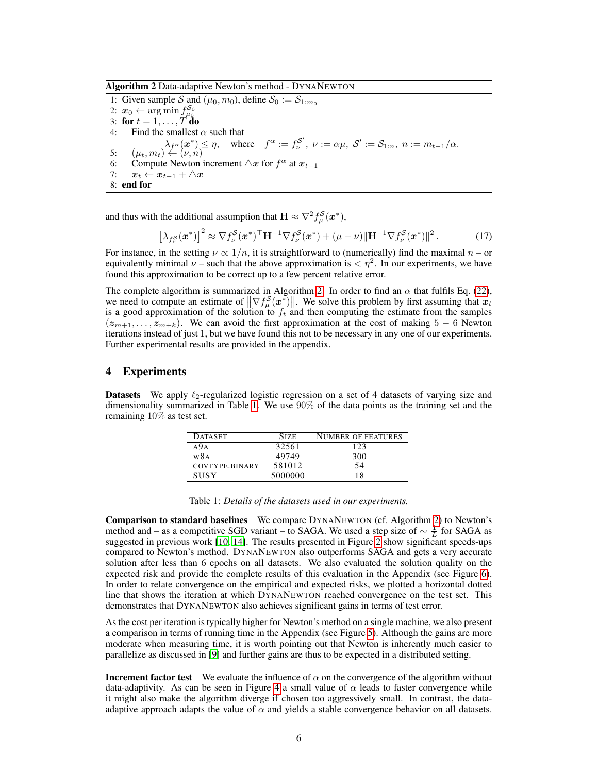<span id="page-5-0"></span>Algorithm 2 Data-adaptive Newton's method - DYNANEWTON

1: Given sample S and  $(\mu_0, m_0)$ , define  $S_0 := S_{1:m_0}$ 2:  $x_0 \leftarrow \argmin_{\mu_0} f_{\mu_0}^{\mathcal{S}_0}$ 3: for  $t = 1, \ldots, T$  do 4: Find the smallest  $\alpha$  such that  $\lambda_{f^{\alpha}}(\boldsymbol{x}^{*}) \leq \eta$ , where  $f^{\alpha} := f^{\mathcal{S}'}_{\nu}$  $\mathcal{S}',\ \nu:=\alpha\mu,\ \mathcal{S}':=\mathcal{S}_{1:n},\ n:=m_{t-1}/\alpha.$ 5:  $(\mu_t, m_t) \stackrel{\rightarrow}{\leftarrow} (\nu, n)$ 6: Compute Newton increment  $\triangle x$  for  $f^{\alpha}$  at  $x_{t-1}$ 7:  $x_t \leftarrow x_{t-1} + \Delta x$ 8: end for

and thus with the additional assumption that  $\mathbf{H} \approx \nabla^2 f^{\mathcal{S}}_{\mu}(\boldsymbol{x}^*),$ 

$$
\left[\lambda_{f_{\nu}^S}(\boldsymbol{x}^*)\right]^2 \approx \nabla f_{\nu}^S(\boldsymbol{x}^*)^{\top} \mathbf{H}^{-1} \nabla f_{\nu}^S(\boldsymbol{x}^*) + (\mu - \nu) \|\mathbf{H}^{-1} \nabla f_{\nu}^S(\boldsymbol{x}^*)\|^2. \tag{17}
$$

For instance, in the setting  $\nu \propto 1/n$ , it is straightforward to (numerically) find the maximal  $n -$ or equivalently minimal  $\nu$  – such that the above approximation is  $\langle \eta^2 \rangle$ . In our experiments, we have found this approximation to be correct up to a few percent relative error.

The complete algorithm is summarized in Algorithm [2.](#page-5-0) In order to find an  $\alpha$  that fulfils Eq. [\(22\)](#page-10-0), we need to compute an estimate of  $\|\nabla f_{\mu}^S(\mathbf{x}^*)\|$ . We solve this problem by first assuming that  $x_t$ is a good approximation of the solution to  $f_t$  and then computing the estimate from the samples  $(z_{m+1}, \ldots, z_{m+k})$ . We can avoid the first approximation at the cost of making 5 − 6 Newton iterations instead of just 1, but we have found this not to be necessary in any one of our experiments. Further experimental results are provided in the appendix.

# 4 Experiments

**Datasets** We apply  $\ell_2$ -regularized logistic regression on a set of 4 datasets of varying size and dimensionality summarized in Table [1.](#page-5-1) We use 90% of the data points as the training set and the remaining 10% as test set.

| <b>DATASET</b> | <b>SIZE</b> | <b>NUMBER OF FEATURES</b> |
|----------------|-------------|---------------------------|
| A9A            | 32561       | 123                       |
| W8A            | 49749       | 300                       |
| COVTYPE.BINARY | 581012      | 54                        |
| <b>SUSY</b>    | 5000000     | 18                        |

<span id="page-5-1"></span>

Comparison to standard baselines We compare DYNANEWTON (cf. Algorithm [2\)](#page-5-0) to Newton's method and – as a competitive SGD variant – to SAGA. We used a step size of  $\sim \frac{1}{L}$  for SAGA as suggested in previous work [\[10,](#page-8-4) [14\]](#page-8-13). The results presented in Figure [2](#page-6-0) show significant speeds-ups compared to Newton's method. DYNANEWTON also outperforms SAGA and gets a very accurate solution after less than 6 epochs on all datasets. We also evaluated the solution quality on the expected risk and provide the complete results of this evaluation in the Appendix (see Figure [6\)](#page-12-0). In order to relate convergence on the empirical and expected risks, we plotted a horizontal dotted line that shows the iteration at which DYNANEWTON reached convergence on the test set. This demonstrates that DYNANEWTON also achieves significant gains in terms of test error.

As the cost per iteration is typically higher for Newton's method on a single machine, we also present a comparison in terms of running time in the Appendix (see Figure [5\)](#page-11-0). Although the gains are more moderate when measuring time, it is worth pointing out that Newton is inherently much easier to parallelize as discussed in [\[9\]](#page-8-14) and further gains are thus to be expected in a distributed setting.

**Increment factor test** We evaluate the influence of  $\alpha$  on the convergence of the algorithm without data-adaptivity. As can be seen in Figure [4](#page-7-0) a small value of  $\alpha$  leads to faster convergence while it might also make the algorithm diverge if chosen too aggressively small. In contrast, the dataadaptive approach adapts the value of  $\alpha$  and yields a stable convergence behavior on all datasets.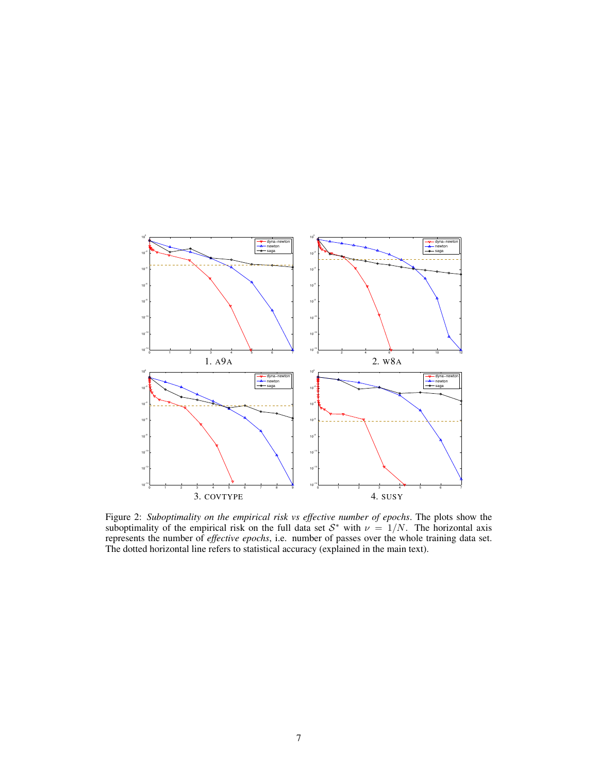

<span id="page-6-0"></span>Figure 2: *Suboptimality on the empirical risk vs effective number of epochs*. The plots show the suboptimality of the empirical risk on the full data set  $S^*$  with  $\nu = 1/N$ . The horizontal axis represents the number of *effective epochs*, i.e. number of passes over the whole training data set. The dotted horizontal line refers to statistical accuracy (explained in the main text).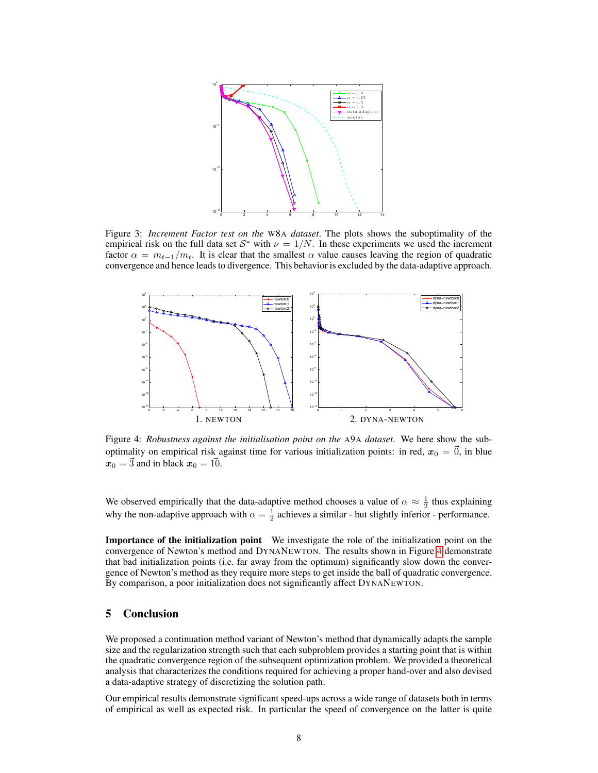

<span id="page-7-0"></span>Figure 3: *Increment Factor test on the* W8A *dataset*. The plots shows the suboptimality of the empirical risk on the full data set  $S^*$  with  $\nu = 1/N$ . In these experiments we used the increment factor  $\alpha = m_{t-1}/m_t$ . It is clear that the smallest  $\alpha$  value causes leaving the region of quadratic convergence and hence leads to divergence. This behavior is excluded by the data-adaptive approach.



<span id="page-7-1"></span>Figure 4: *Robustness against the initialisation point on the* A9A *dataset*. We here show the suboptimality on empirical risk against time for various initialization points: in red,  $x_0 = \vec{0}$ , in blue  $x_0 = 3$  and in black  $x_0 = 10$ .

We observed empirically that the data-adaptive method chooses a value of  $\alpha \approx \frac{1}{2}$  thus explaining why the non-adaptive approach with  $\alpha = \frac{1}{2}$  achieves a similar - but slightly inferior - performance.

Importance of the initialization point We investigate the role of the initialization point on the convergence of Newton's method and DYNANEWTON. The results shown in Figure [4](#page-7-1) demonstrate that bad initialization points (i.e. far away from the optimum) significantly slow down the convergence of Newton's method as they require more steps to get inside the ball of quadratic convergence. By comparison, a poor initialization does not significantly affect DYNANEWTON.

# 5 Conclusion

We proposed a continuation method variant of Newton's method that dynamically adapts the sample size and the regularization strength such that each subproblem provides a starting point that is within the quadratic convergence region of the subsequent optimization problem. We provided a theoretical analysis that characterizes the conditions required for achieving a proper hand-over and also devised a data-adaptive strategy of discretizing the solution path.

Our empirical results demonstrate significant speed-ups across a wide range of datasets both in terms of empirical as well as expected risk. In particular the speed of convergence on the latter is quite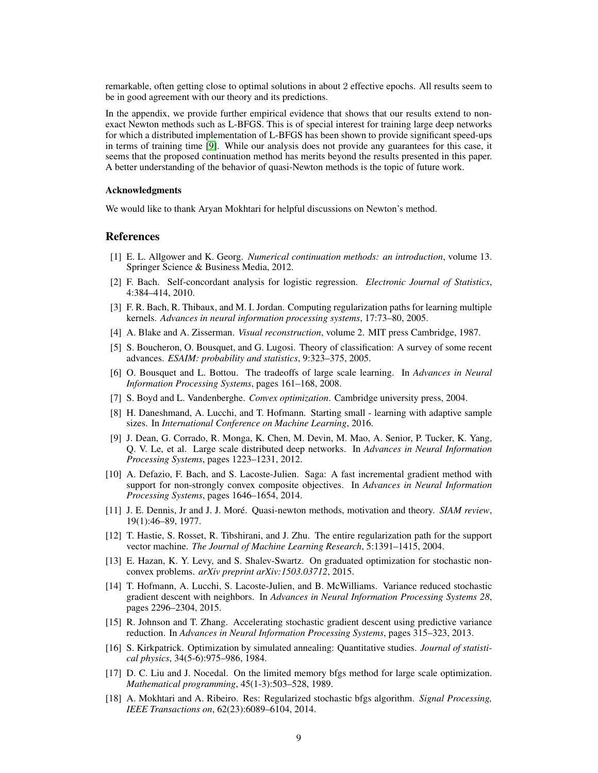remarkable, often getting close to optimal solutions in about 2 effective epochs. All results seem to be in good agreement with our theory and its predictions.

In the appendix, we provide further empirical evidence that shows that our results extend to nonexact Newton methods such as L-BFGS. This is of special interest for training large deep networks for which a distributed implementation of L-BFGS has been shown to provide significant speed-ups in terms of training time [\[9\]](#page-8-14). While our analysis does not provide any guarantees for this case, it seems that the proposed continuation method has merits beyond the results presented in this paper. A better understanding of the behavior of quasi-Newton methods is the topic of future work.

#### Acknowledgments

We would like to thank Aryan Mokhtari for helpful discussions on Newton's method.

### References

- <span id="page-8-2"></span>[1] E. L. Allgower and K. Georg. *Numerical continuation methods: an introduction*, volume 13. Springer Science & Business Media, 2012.
- <span id="page-8-12"></span>[2] F. Bach. Self-concordant analysis for logistic regression. *Electronic Journal of Statistics*, 4:384–414, 2010.
- <span id="page-8-11"></span>[3] F. R. Bach, R. Thibaux, and M. I. Jordan. Computing regularization paths for learning multiple kernels. *Advances in neural information processing systems*, 17:73–80, 2005.
- <span id="page-8-8"></span>[4] A. Blake and A. Zisserman. *Visual reconstruction*, volume 2. MIT press Cambridge, 1987.
- <span id="page-8-5"></span>[5] S. Boucheron, O. Bousquet, and G. Lugosi. Theory of classification: A survey of some recent advances. *ESAIM: probability and statistics*, 9:323–375, 2005.
- <span id="page-8-6"></span>[6] O. Bousquet and L. Bottou. The tradeoffs of large scale learning. In *Advances in Neural Information Processing Systems*, pages 161–168, 2008.
- <span id="page-8-0"></span>[7] S. Boyd and L. Vandenberghe. *Convex optimization*. Cambridge university press, 2004.
- <span id="page-8-1"></span>[8] H. Daneshmand, A. Lucchi, and T. Hofmann. Starting small - learning with adaptive sample sizes. In *International Conference on Machine Learning*, 2016.
- <span id="page-8-14"></span>[9] J. Dean, G. Corrado, R. Monga, K. Chen, M. Devin, M. Mao, A. Senior, P. Tucker, K. Yang, Q. V. Le, et al. Large scale distributed deep networks. In *Advances in Neural Information Processing Systems*, pages 1223–1231, 2012.
- <span id="page-8-4"></span>[10] A. Defazio, F. Bach, and S. Lacoste-Julien. Saga: A fast incremental gradient method with support for non-strongly convex composite objectives. In *Advances in Neural Information Processing Systems*, pages 1646–1654, 2014.
- <span id="page-8-15"></span>[11] J. E. Dennis, Jr and J. J. Moré. Quasi-newton methods, motivation and theory. *SIAM review*, 19(1):46–89, 1977.
- <span id="page-8-10"></span>[12] T. Hastie, S. Rosset, R. Tibshirani, and J. Zhu. The entire regularization path for the support vector machine. *The Journal of Machine Learning Research*, 5:1391–1415, 2004.
- <span id="page-8-9"></span>[13] E. Hazan, K. Y. Levy, and S. Shalev-Swartz. On graduated optimization for stochastic nonconvex problems. *arXiv preprint arXiv:1503.03712*, 2015.
- <span id="page-8-13"></span>[14] T. Hofmann, A. Lucchi, S. Lacoste-Julien, and B. McWilliams. Variance reduced stochastic gradient descent with neighbors. In *Advances in Neural Information Processing Systems 28*, pages 2296–2304, 2015.
- <span id="page-8-3"></span>[15] R. Johnson and T. Zhang. Accelerating stochastic gradient descent using predictive variance reduction. In *Advances in Neural Information Processing Systems*, pages 315–323, 2013.
- <span id="page-8-7"></span>[16] S. Kirkpatrick. Optimization by simulated annealing: Quantitative studies. *Journal of statistical physics*, 34(5-6):975–986, 1984.
- <span id="page-8-16"></span>[17] D. C. Liu and J. Nocedal. On the limited memory bfgs method for large scale optimization. *Mathematical programming*, 45(1-3):503–528, 1989.
- <span id="page-8-17"></span>[18] A. Mokhtari and A. Ribeiro. Res: Regularized stochastic bfgs algorithm. *Signal Processing, IEEE Transactions on*, 62(23):6089–6104, 2014.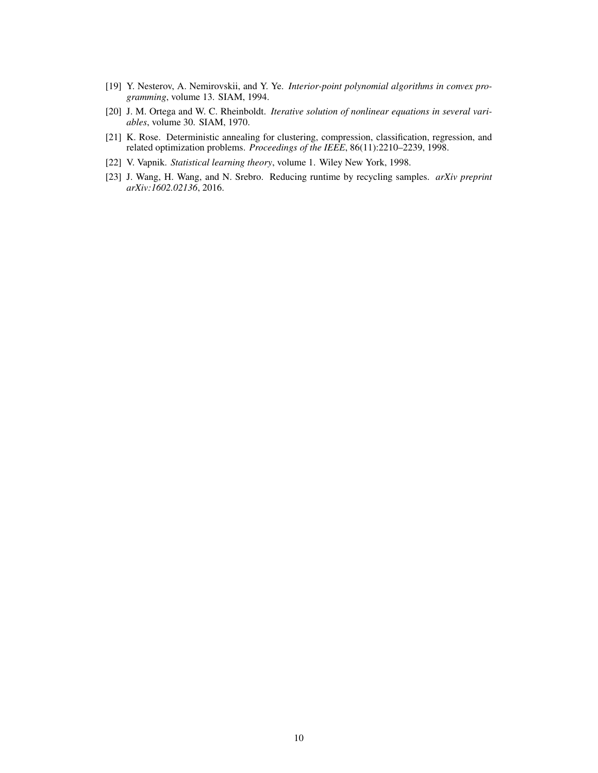- <span id="page-9-4"></span>[19] Y. Nesterov, A. Nemirovskii, and Y. Ye. *Interior-point polynomial algorithms in convex programming*, volume 13. SIAM, 1994.
- <span id="page-9-0"></span>[20] J. M. Ortega and W. C. Rheinboldt. *Iterative solution of nonlinear equations in several variables*, volume 30. SIAM, 1970.
- <span id="page-9-2"></span>[21] K. Rose. Deterministic annealing for clustering, compression, classification, regression, and related optimization problems. *Proceedings of the IEEE*, 86(11):2210–2239, 1998.
- <span id="page-9-3"></span>[22] V. Vapnik. *Statistical learning theory*, volume 1. Wiley New York, 1998.
- <span id="page-9-1"></span>[23] J. Wang, H. Wang, and N. Srebro. Reducing runtime by recycling samples. *arXiv preprint arXiv:1602.02136*, 2016.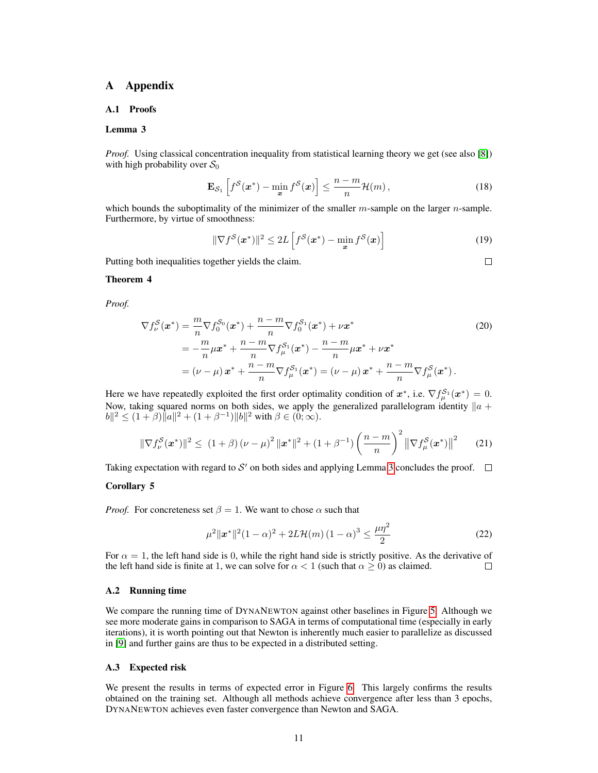# A Appendix

#### A.1 Proofs

#### Lemma 3

*Proof.* Using classical concentration inequality from statistical learning theory we get (see also [\[8\]](#page-8-1)) with high probability over  $S_0$ 

$$
\mathbf{E}_{\mathcal{S}_1}\left[f^{\mathcal{S}}(\boldsymbol{x}^*) - \min_{\boldsymbol{x}} f^{\mathcal{S}}(\boldsymbol{x})\right] \le \frac{n-m}{n} \mathcal{H}(m),\tag{18}
$$

which bounds the suboptimality of the minimizer of the smaller  $m$ -sample on the larger  $n$ -sample. Furthermore, by virtue of smoothness:

$$
\|\nabla f^{\mathcal{S}}(\boldsymbol{x}^*)\|^2 \le 2L\left[f^{\mathcal{S}}(\boldsymbol{x}^*) - \min_{\boldsymbol{x}} f^{\mathcal{S}}(\boldsymbol{x})\right]
$$
(19)

Putting both inequalities together yields the claim.

<span id="page-10-0"></span> $\Box$ 

#### Theorem 4

*Proof.*

$$
\nabla f_{\nu}^{S}(\boldsymbol{x}^{*}) = \frac{m}{n} \nabla f_{0}^{S_{0}}(\boldsymbol{x}^{*}) + \frac{n - m}{n} \nabla f_{0}^{S_{1}}(\boldsymbol{x}^{*}) + \nu \boldsymbol{x}^{*}
$$
\n
$$
= -\frac{m}{n} \mu \boldsymbol{x}^{*} + \frac{n - m}{n} \nabla f_{\mu}^{S_{1}}(\boldsymbol{x}^{*}) - \frac{n - m}{n} \mu \boldsymbol{x}^{*} + \nu \boldsymbol{x}^{*}
$$
\n
$$
= (\nu - \mu) \boldsymbol{x}^{*} + \frac{n - m}{n} \nabla f_{\mu}^{S_{1}}(\boldsymbol{x}^{*}) = (\nu - \mu) \boldsymbol{x}^{*} + \frac{n - m}{n} \nabla f_{\mu}^{S}(\boldsymbol{x}^{*}).
$$
\n(20)

Here we have repeatedly exploited the first order optimality condition of  $x^*$ , i.e.  $\nabla f_{\mu}^{\mathcal{S}_1}(x^*)=0$ . Now, taking squared norms on both sides, we apply the generalized parallelogram identity  $\|a + b\|$  $||b||^2 \leq (1+\beta)||a||^2 + (1+\beta^{-1})||b||^2$  with  $\beta \in (0,\infty)$ .

$$
\|\nabla f_{\nu}^{\mathcal{S}}(\boldsymbol{x}^*)\|^2 \le (1+\beta) (\nu-\mu)^2 \|\boldsymbol{x}^*\|^2 + (1+\beta^{-1}) \left(\frac{n-m}{n}\right)^2 \left\|\nabla f_{\mu}^{\mathcal{S}}(\boldsymbol{x}^*)\right\|^2 \tag{21}
$$

Taking expectation with regard to  $S'$  on both sides and applying Lemma [3](#page-4-1) concludes the proof.

#### Corollary 5

*Proof.* For concreteness set  $\beta = 1$ . We want to chose  $\alpha$  such that

$$
\mu^{2} \|\boldsymbol{x}^{*}\|^{2} (1-\alpha)^{2} + 2L \mathcal{H}(m) (1-\alpha)^{3} \leq \frac{\mu \eta^{2}}{2}
$$
\n(22)

For  $\alpha = 1$ , the left hand side is 0, while the right hand side is strictly positive. As the derivative of the left hand side is finite at 1, we can solve for  $\alpha < 1$  (such that  $\alpha \ge 0$ ) as claimed.  $\Box$ 

#### A.2 Running time

We compare the running time of DYNANEWTON against other baselines in Figure [5.](#page-11-0) Although we see more moderate gains in comparison to SAGA in terms of computational time (especially in early iterations), it is worth pointing out that Newton is inherently much easier to parallelize as discussed in [\[9\]](#page-8-14) and further gains are thus to be expected in a distributed setting.

#### A.3 Expected risk

We present the results in terms of expected error in Figure [6.](#page-12-0) This largely confirms the results obtained on the training set. Although all methods achieve convergence after less than 3 epochs, DYNANEWTON achieves even faster convergence than Newton and SAGA.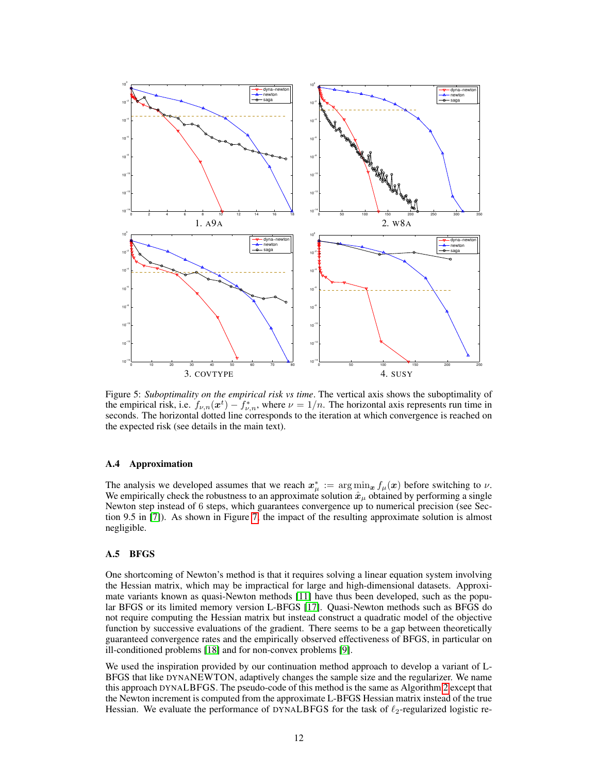

<span id="page-11-0"></span>Figure 5: *Suboptimality on the empirical risk vs time*. The vertical axis shows the suboptimality of the empirical risk, i.e.  $f_{\nu,n}(x^t) - f_{\nu,n}^*$ , where  $\nu = 1/n$ . The horizontal axis represents run time in seconds. The horizontal dotted line corresponds to the iteration at which convergence is reached on the expected risk (see details in the main text).

### A.4 Approximation

The analysis we developed assumes that we reach  $x^*_{\mu} := \arg \min_{x} f_{\mu}(x)$  before switching to  $\nu$ . We empirically check the robustness to an approximate solution  $\hat{x}_{\mu}$  obtained by performing a single Newton step instead of 6 steps, which guarantees convergence up to numerical precision (see Section 9.5 in [\[7\]](#page-8-0)). As shown in Figure [7,](#page-13-0) the impact of the resulting approximate solution is almost negligible.

#### A.5 BFGS

One shortcoming of Newton's method is that it requires solving a linear equation system involving the Hessian matrix, which may be impractical for large and high-dimensional datasets. Approximate variants known as quasi-Newton methods [\[11\]](#page-8-15) have thus been developed, such as the popular BFGS or its limited memory version L-BFGS [\[17\]](#page-8-16). Quasi-Newton methods such as BFGS do not require computing the Hessian matrix but instead construct a quadratic model of the objective function by successive evaluations of the gradient. There seems to be a gap between theoretically guaranteed convergence rates and the empirically observed effectiveness of BFGS, in particular on ill-conditioned problems [\[18\]](#page-8-17) and for non-convex problems [\[9\]](#page-8-14).

We used the inspiration provided by our continuation method approach to develop a variant of L-BFGS that like DYNANEWTON, adaptively changes the sample size and the regularizer. We name this approach DYNALBFGS. The pseudo-code of this method is the same as Algorithm [2](#page-5-0) except that the Newton increment is computed from the approximate L-BFGS Hessian matrix instead of the true Hessian. We evaluate the performance of DYNALBFGS for the task of  $\ell_2$ -regularized logistic re-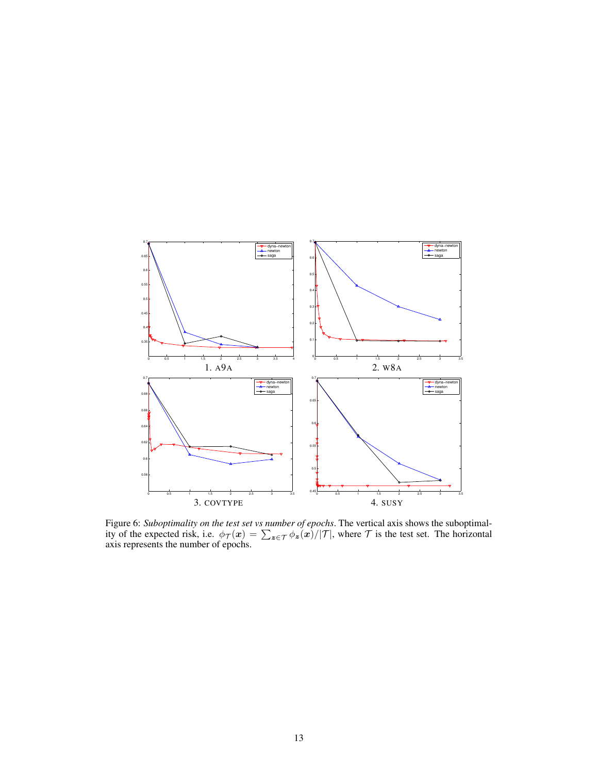

<span id="page-12-0"></span>Figure 6: *Suboptimality on the test set vs number of epochs*. The vertical axis shows the suboptimality of the expected risk, i.e.  $\phi_{\mathcal{T}}(x) = \sum_{z \in \mathcal{T}} \phi_z(x)/|\mathcal{T}|$ , where  $\mathcal{T}$  is the test set. The horizontal axis represents the number of epochs.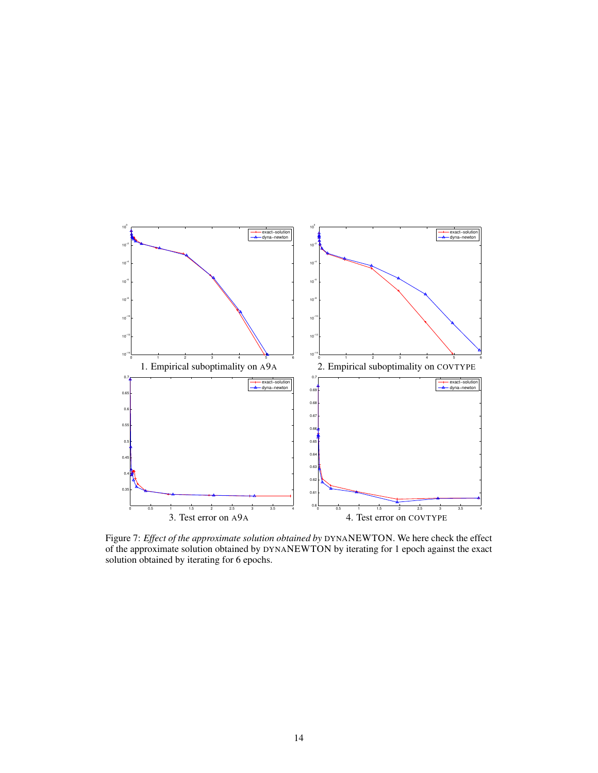

<span id="page-13-0"></span>Figure 7: *Effect of the approximate solution obtained by* DYNANEWTON. We here check the effect of the approximate solution obtained by DYNANEWTON by iterating for 1 epoch against the exact solution obtained by iterating for 6 epochs.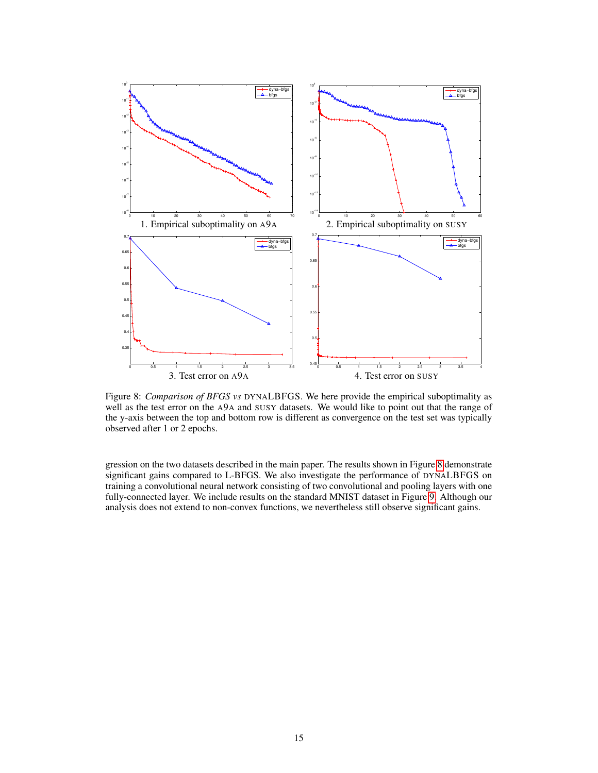

<span id="page-14-0"></span>Figure 8: *Comparison of BFGS vs* DYNALBFGS. We here provide the empirical suboptimality as well as the test error on the A9A and SUSY datasets. We would like to point out that the range of the y-axis between the top and bottom row is different as convergence on the test set was typically observed after 1 or 2 epochs.

gression on the two datasets described in the main paper. The results shown in Figure [8](#page-14-0) demonstrate significant gains compared to L-BFGS. We also investigate the performance of DYNALBFGS on training a convolutional neural network consisting of two convolutional and pooling layers with one fully-connected layer. We include results on the standard MNIST dataset in Figure [9.](#page-15-0) Although our analysis does not extend to non-convex functions, we nevertheless still observe significant gains.